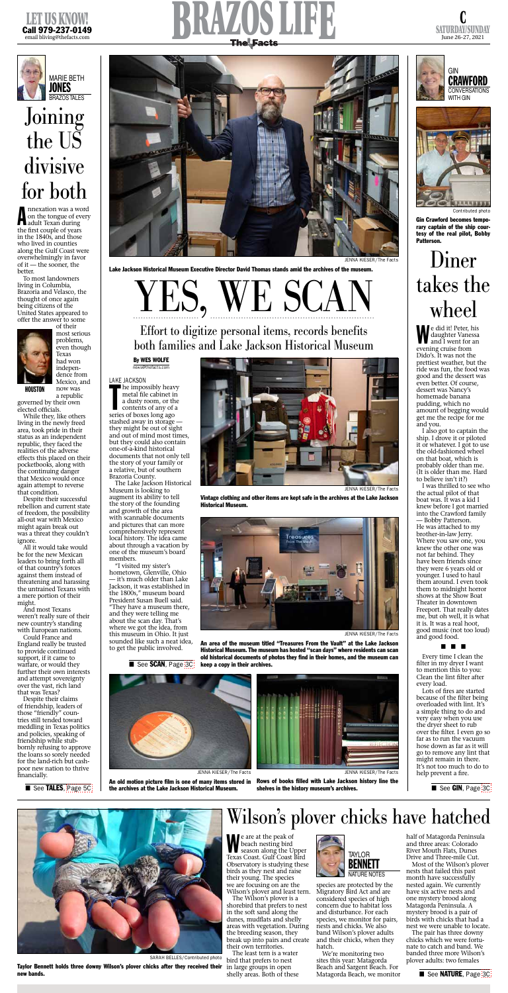

SATURDAY/SUNDAY June 26-27, 2021









e are at the peak of<br>beach nesting bird<br>season along the Upper e are at the peak of beach nesting bird Texas Coast. Gulf Coast Bird Observatory is studying these birds as they nest and raise their young. The species we are focusing on are the Wilson's plover and least tern.

The Wilson's plover is a shorebird that prefers to nest in the soft sand along the dunes, mudflats and shelly areas with vegetation. During the breeding season, they break up into pairs and create their own territories.

The least tern is a water bird that prefers to nest in large groups in open shelly areas. Both of these

species are protected by the Migratory Bird Act and are considered species of high concern due to habitat loss and disturbance. For each species, we monitor for pairs, nests and chicks. We also band Wilson's plover adults and their chicks, when they hatch.

**A** nnexation was a wc<br>
on the tongue of evadult Texan during nnexation was a word on the tongue of every the first couple of years in the 1840s, and those who lived in counties along the Gulf Coast were overwhelmingly in favor of it — the sooner, the better.

> We're monitoring two sites this year: Matagorda Beach and Sargent Beach. For Matagorda Beach, we monitor

a republic **HOUSTON** 

> half of Matagorda Peninsula and three areas: Colorado River Mouth Flats, Dunes Drive and Three-mile Cut.

governed by their own elected officials.

> Most of the Wilson's plover nests that failed this past month have successfully nested again. We currently have six active nests and one mystery brood along Matagorda Peninsula. A mystery brood is a pair of birds with chicks that had a nest we were unable to locate.

All it would take would be for the new Mexican leaders to bring forth all of that country's forces against them instead of threatening and harassing the untrained Texans with a mere portion of their might. And most Texans weren't really sure of their new country's standing with European nations. Could France and England really be trusted to provide continued support, if it came to warfare, or would they further their own interests and attempt sovereignty over the vast, rich land that was Texas? Despite their claims of friendship, leaders of those "friendly" countries still tended toward meddling in Texas politics and policies, speaking of friendship while stubbornly refusing to approve the loans so sorely needed for the land-rich but cashpoor new nation to thrive financially.

> The pair has three downy chicks which we were fortunate to catch and band. We banded three more Wilson's plover adults: two females

Wilson's plover chicks have hatched



SARAH BELLES/Contributed photo

Taylor Bennett holds three downy Wilson's plover chicks after they received their new bands.



LAKE JACKSON<br>
he impos<br>
metal file<br>
a dusty re<br>
contents he impossibly heavy metal file cabinet in a dusty room, or the contents of any of a

To most landowners living in Columbia, Brazoria and Velasco, the thought of once again being citizens of the United States appeared to offer the answer to some



of their most serious problems, even though Texas had won independence from Mexico, and now was

> it's much older than Lake Jackson, it was established in the 1800s," museum board President Susan Buell said. "They have a museum there, and they were telling me about the scan day. That's where we got the idea, from this museum in Ohio. It just sounded like such a neat idea, to get the public involved.

> > ■ See SCAN, Page [3C](http://thefacts.com/tncms/eeditionjump/?page=3C&uuid=9aae5390-5b5c-5c0c-adf9-b700a0fe746b)

While they, like others living in the newly freed area, took pride in their status as an independent republic, they faced the realities of the adverse effects this placed on their pocketbooks, along with the continuing danger that Mexico would once again attempt to reverse that condition.

> Rows of books filled with Lake Jackson history line the shelves in the history museum's archives.

An old motion picture film is one of many items stored in the archives at the Lake Jackson Historical Museum.

Despite their successful rebellion and current state of freedom, the possibility all-out war with Mexico might again break out was a threat they couldn't ignore.

# Joining the US divisive for both

#### By WES WOLFE news@thefacts.com

series of boxes long ago stashed away in storage they might be out of sight and out of mind most times, but they could also contain one-of-a-kind historical documents that not only tell the story of your family or a relative, but of southern Brazoria County.

The Lake Jackson Historical Museum is looking to augment its ability to tell the story of the founding and growth of the area with scannable documents and pictures that can more comprehensively represent local history. The idea came about through a vacation by one of the museum's board members.

"I visited my sister's hometown, Glenville, Ohio

YES, WE SCAN



JENNA KIESER/The Facts

Lake Jackson Historical Museum Executive Director David Thomas stands amid the archives of the museum.



JENNA KIESER/The Facts

Vintage clothing and other items are kept safe in the archives at the Lake Jackson Historical Museum.





JENNA KIESER/The Facts

## Effort to digitize personal items, records benefits both families and Lake Jackson Historical Museum

JENNA KIESER/The Facts

An area of the museum titled "Treasures From the Vault" at the Lake Jackson Historical Museum. The museum has hosted "scan days" where residents can scan old historical documents of photos they find in their homes, and the museum can keep a copy in their archives.



W e did it! Peter, his daughter Vanessa and I went for an evening cruise from Dido's. It was not the prettiest weather, but the ride was fun, the food was good and the dessert was even better. Of course, dessert was Nancy's homemade banana pudding, which no amount of begging would get me the recipe for me and you.

I also got to captain the ship. I drove it or piloted it or whatever. I got to use the old-fashioned wheel on that boat, which is probably older than me. (It is older than me. Hard to believe isn't it?)

I was thrilled to see who the actual pilot of that boat was. It was a kid I knew before I got married into the Crawford family — Bobby Patterson. He was attached to my brother-in-law Jerry. Where you saw one, you knew the other one was not far behind. They have been friends since they were 6 years old or younger. I used to haul them around. I even took them to midnight horror shows at the Show Boat Theater in downtown Freeport. That really dates me, but oh well, it is what it is. It was a real hoot, good music (not too loud) and good food.

■ See TALES, [Page 5C](http://thefacts.com/tncms/eeditionjump/?page=5C&uuid=9aae5390-5b5c-5c0c-adf9-b700a0fe746b)

■ ■ ■

Every time I clean the filter in my dryer I want to mention this to you: Clean the lint filter after every load.

Lots of fires are started because of the filter being overloaded with lint. It's a simple thing to do and very easy when you use the dryer sheet to rub over the filter. I even go so far as to run the vacuum hose down as far as it will go to remove any lint that might remain in there. It's not too much to do to help prevent a fire.

■ See GIN, Page [3C](http://thefacts.com/tncms/eeditionjump/?page=3C&uuid=9aae5390-5b5c-5c0c-adf9-b700a0fe746b)

# Diner takes the wheel

Contributed photo

Gin Crawford becomes temporary captain of the ship courtesy of the real pilot, Bobby Patterson.